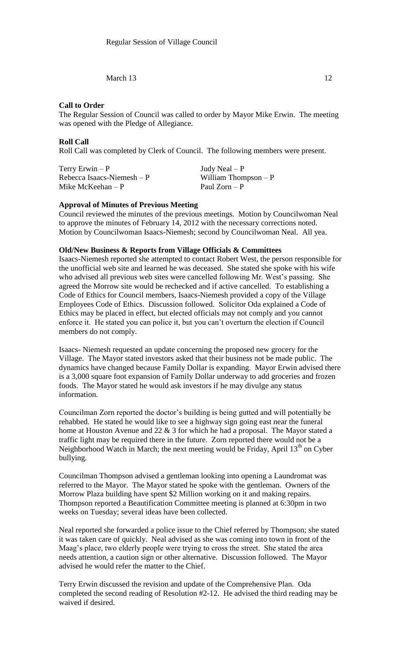March  $13$  12

## **Call to Order**

The Regular Session of Council was called to order by Mayor Mike Erwin. The meeting was opened with the Pledge of Allegiance.

## **Roll Call**

Roll Call was completed by Clerk of Council. The following members were present.

 $Terry Erwin - P$  Judy Neal – P  $Rebecca Isaacs-Niemesh - P$  William Thompson – P Mike McKeehan – P Paul Zorn – P

# **Approval of Minutes of Previous Meeting**

Council reviewed the minutes of the previous meetings. Motion by Councilwoman Neal to approve the minutes of February 14, 2012 with the necessary corrections noted. Motion by Councilwoman Isaacs-Niemesh; second by Councilwoman Neal. All yea.

### **Old/New Business & Reports from Village Officials & Committees**

Isaacs-Niemesh reported she attempted to contact Robert West, the person responsible for the unofficial web site and learned he was deceased. She stated she spoke with his wife who advised all previous web sites were cancelled following Mr. West's passing. She agreed the Morrow site would be rechecked and if active cancelled. To establishing a Code of Ethics for Council members, Isaacs-Niemesh provided a copy of the Village Employees Code of Ethics. Discussion followed. Solicitor Oda explained a Code of Ethics may be placed in effect, but elected officials may not comply and you cannot enforce it. He stated you can police it, but you can't overturn the election if Council members do not comply.

Isaacs- Niemesh requested an update concerning the proposed new grocery for the Village. The Mayor stated investors asked that their business not be made public. The dynamics have changed because Family Dollar is expanding. Mayor Erwin advised there is a 3,000 square foot expansion of Family Dollar underway to add groceries and frozen foods. The Mayor stated he would ask investors if he may divulge any status information.

Councilman Zorn reported the doctor's building is being gutted and will potentially be rehabbed. He stated he would like to see a highway sign going east near the funeral home at Houston Avenue and 22 & 3 for which he had a proposal. The Mayor stated a traffic light may be required there in the future. Zorn reported there would not be a Neighborhood Watch in March; the next meeting would be Friday, April  $13<sup>th</sup>$  on Cyber bullying.

Councilman Thompson advised a gentleman looking into opening a Laundromat was referred to the Mayor. The Mayor stated he spoke with the gentleman. Owners of the Morrow Plaza building have spent \$2 Million working on it and making repairs. Thompson reported a Beautification Committee meeting is planned at 6:30pm in two weeks on Tuesday; several ideas have been collected.

Neal reported she forwarded a police issue to the Chief referred by Thompson; she stated it was taken care of quickly. Neal advised as she was coming into town in front of the Maag's place, two elderly people were trying to cross the street. She stated the area needs attention, a caution sign or other alternative. Discussion followed. The Mayor advised he would refer the matter to the Chief.

Terry Erwin discussed the revision and update of the Comprehensive Plan. Oda completed the second reading of Resolution #2-12. He advised the third reading may be waived if desired.